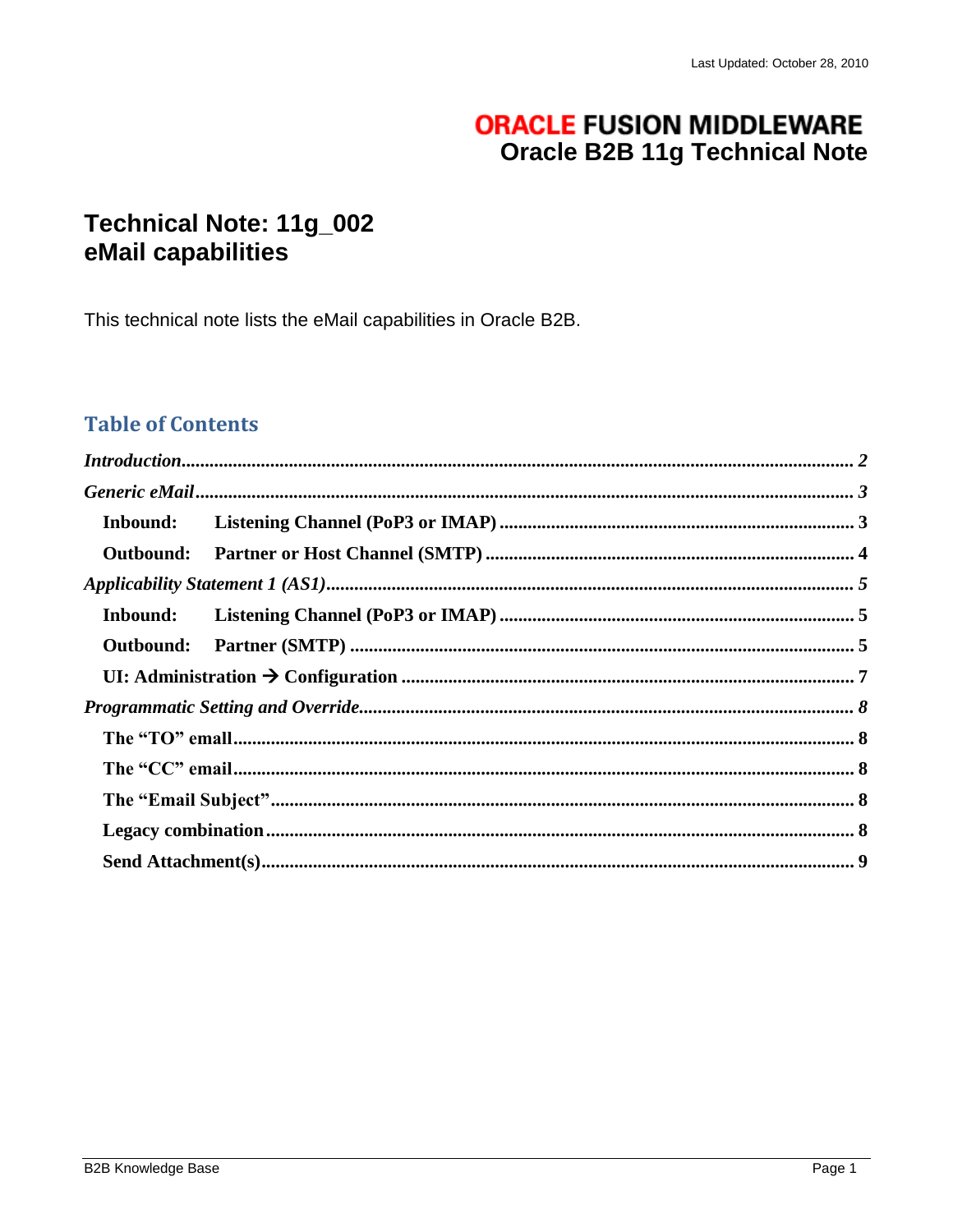# **ORACLE FUSION MIDDLEWARE Oracle B2B 11g Technical Note**

# Technical Note: 11g\_002 eMail capabilities

This technical note lists the eMail capabilities in Oracle B2B.

## **Table of Contents**

| Inbound:         |  |
|------------------|--|
| <b>Outbound:</b> |  |
|                  |  |
|                  |  |
|                  |  |
|                  |  |
|                  |  |
|                  |  |
|                  |  |
|                  |  |
|                  |  |
|                  |  |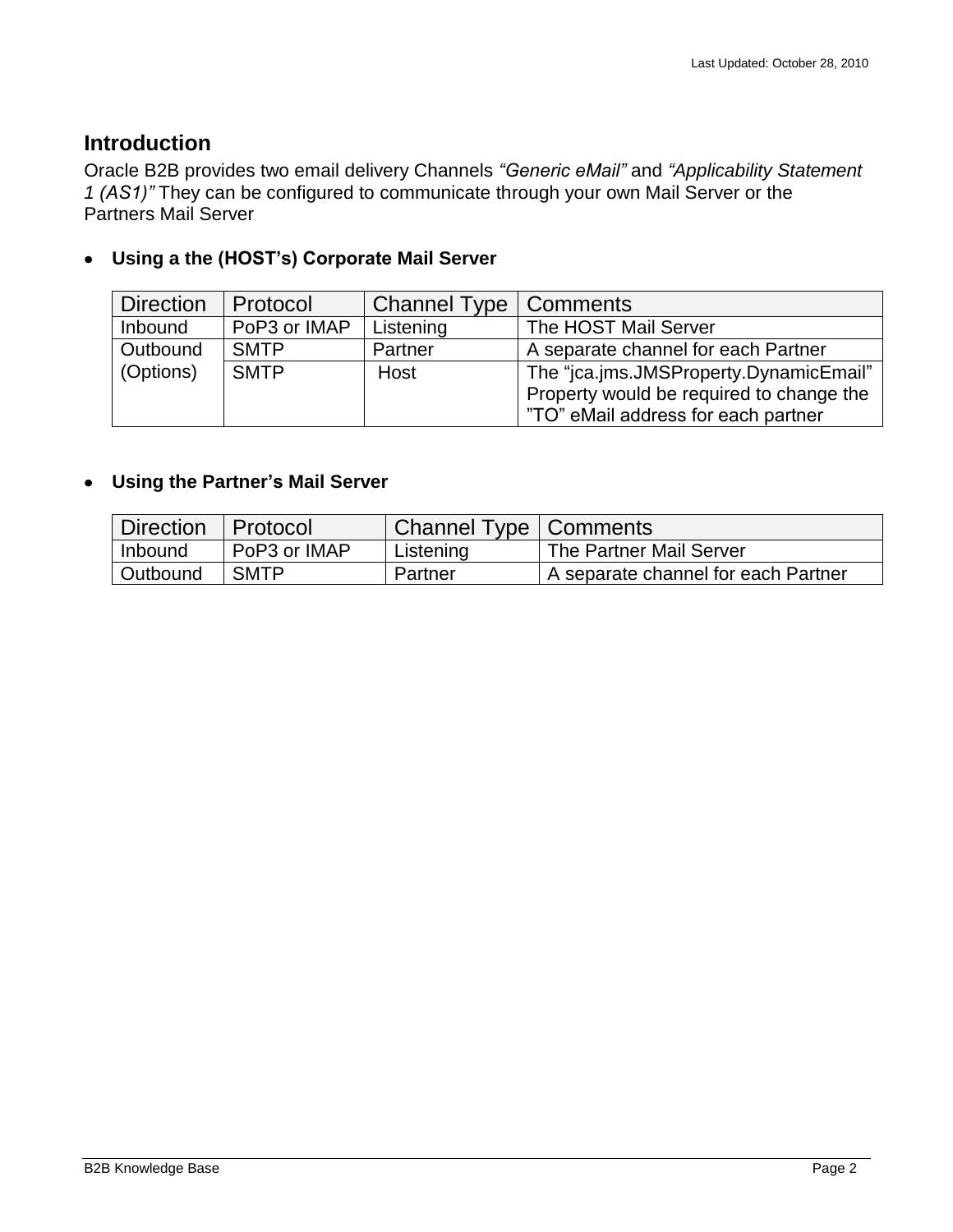### <span id="page-1-0"></span>**Introduction**

Oracle B2B provides two email delivery Channels *"Generic eMail"* and *"Applicability Statement 1 (AS1)"* They can be configured to communicate through your own Mail Server or the Partners Mail Server

#### **Using a the (HOST's) Corporate Mail Server**  $\bullet$

| <b>Direction</b> | Protocol     | Channel Type   Comments |                                          |
|------------------|--------------|-------------------------|------------------------------------------|
| Inbound          | PoP3 or IMAP | Listening               | The HOST Mail Server                     |
| Outbound         | <b>SMTP</b>  | Partner                 | A separate channel for each Partner      |
| (Options)        | <b>SMTP</b>  | Host                    | The "jca.jms.JMSProperty.DynamicEmail"   |
|                  |              |                         | Property would be required to change the |
|                  |              |                         | "TO" eMail address for each partner      |

### **Using the Partner's Mail Server**

| <b>Direction</b> | l Protocol   | Channel Type   Comments |                                     |
|------------------|--------------|-------------------------|-------------------------------------|
| Inbound          | PoP3 or IMAP | Listening               | The Partner Mail Server             |
| Outbound         | <b>SMTP</b>  | Partner                 | A separate channel for each Partner |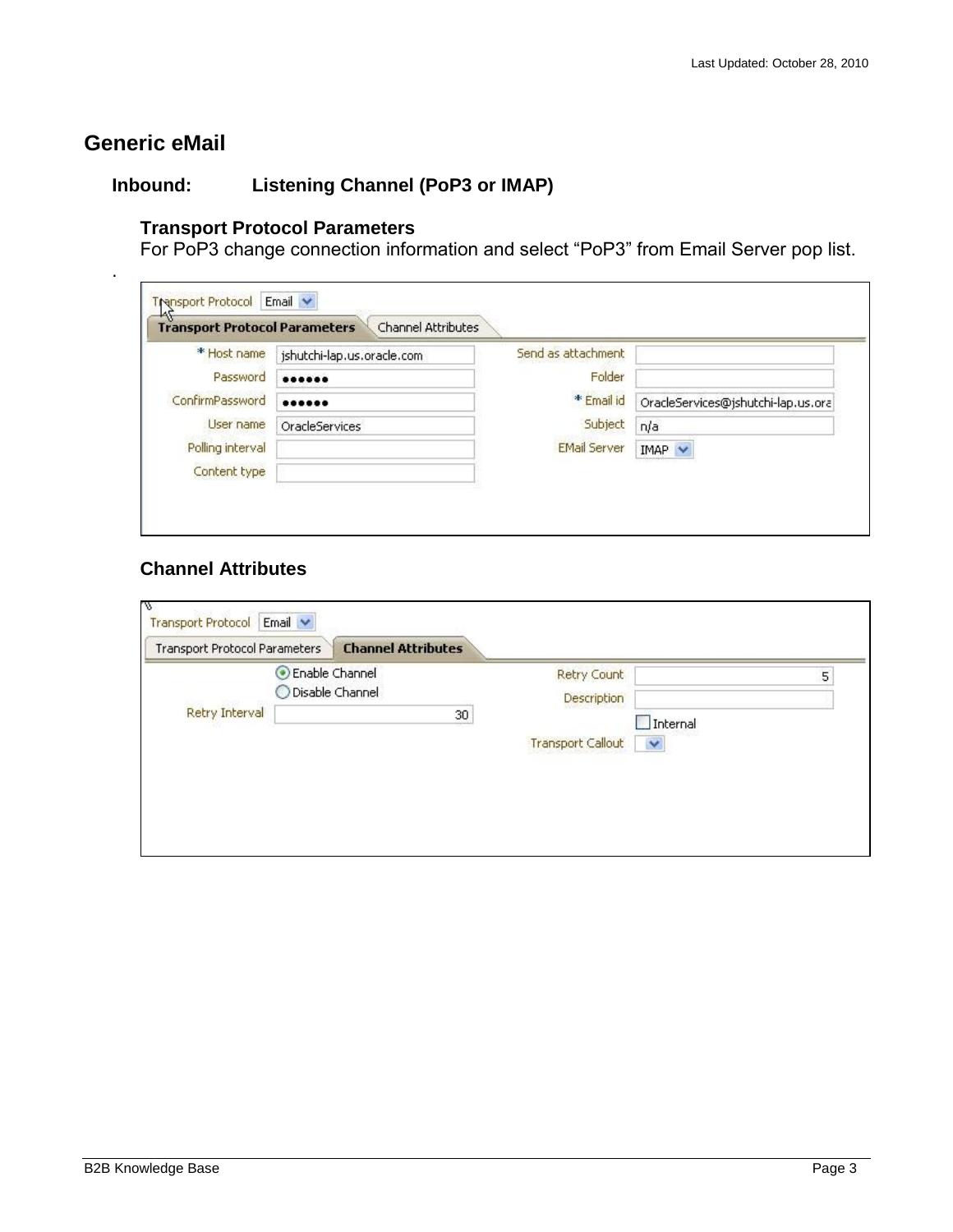# <span id="page-2-0"></span>**Generic eMail**

.

### <span id="page-2-1"></span>**Inbound: Listening Channel (PoP3 or IMAP)**

#### **Transport Protocol Parameters**

For PoP3 change connection information and select "PoP3" from Email Server pop list.

| * Host name      | jshutchi-lap.us.oracle.com | Send as attachment  |                                    |
|------------------|----------------------------|---------------------|------------------------------------|
| Password         |                            | Folder              |                                    |
| ConfirmPassword  |                            | ** Email id         | OracleServices@jshutchi-lap.us.ora |
| User name        | <b>OracleServices</b>      | Subject             | n/a                                |
| Polling interval |                            | <b>EMail Server</b> | $IMAP \vee$                        |
| Content type     |                            |                     |                                    |

### **Channel Attributes**

| Transport Protocol Parameters | <b>Channel Attributes</b> |                                          |   |
|-------------------------------|---------------------------|------------------------------------------|---|
|                               | Enable Channel            | Retry Count                              | 5 |
|                               | Disable Channel           | Description                              |   |
| Retry Interval                | 30                        | Internal                                 |   |
|                               |                           | <b>Transport Callout</b><br>$\checkmark$ |   |
|                               |                           |                                          |   |
|                               |                           |                                          |   |
|                               |                           |                                          |   |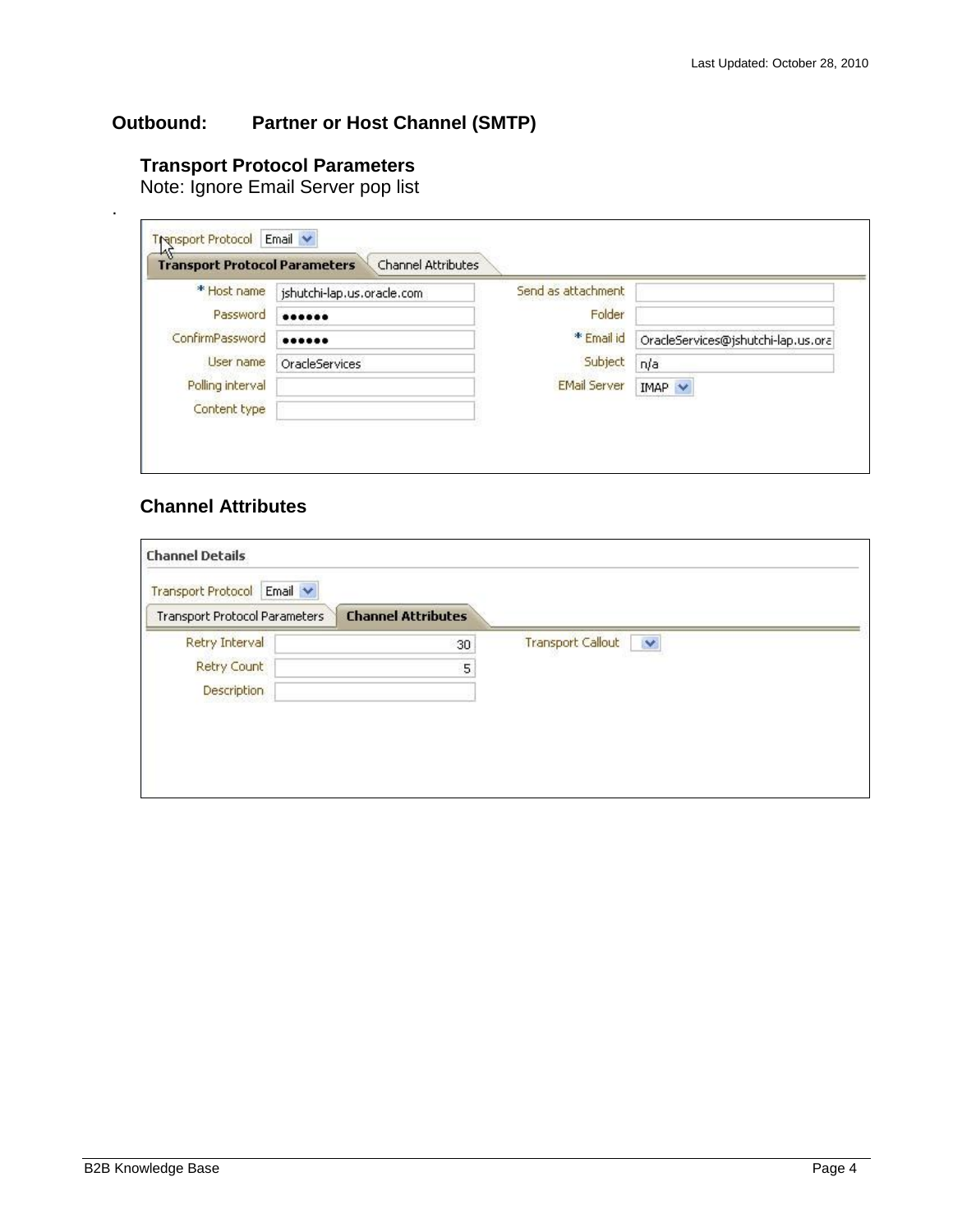### <span id="page-3-0"></span>**Outbound: Partner or Host Channel (SMTP)**

#### **Transport Protocol Parameters**

Note: Ignore Email Server pop list

|                  | jshutchi-lap.us.oracle.com | Send as attachment  |                                    |
|------------------|----------------------------|---------------------|------------------------------------|
| Password         |                            | Folder              |                                    |
| ConfirmPassword  |                            | * Email id          | OracleServices@jshutchi-lap.us.ora |
| User name        | <b>OracleServices</b>      | Subject             | n/a                                |
| Polling interval |                            | <b>EMail Server</b> | $IMAP \nightharpoonup$             |

#### **Channel Attributes**

.

| Email $\vee$<br>Transport Protocol<br><b>Transport Protocol Parameters</b> | <b>Channel Attributes</b> |                               |
|----------------------------------------------------------------------------|---------------------------|-------------------------------|
| Retry Interval                                                             | 30                        | <b>Transport Callout</b><br>× |
| Retry Count                                                                | 5                         |                               |
| <b>Description</b>                                                         |                           |                               |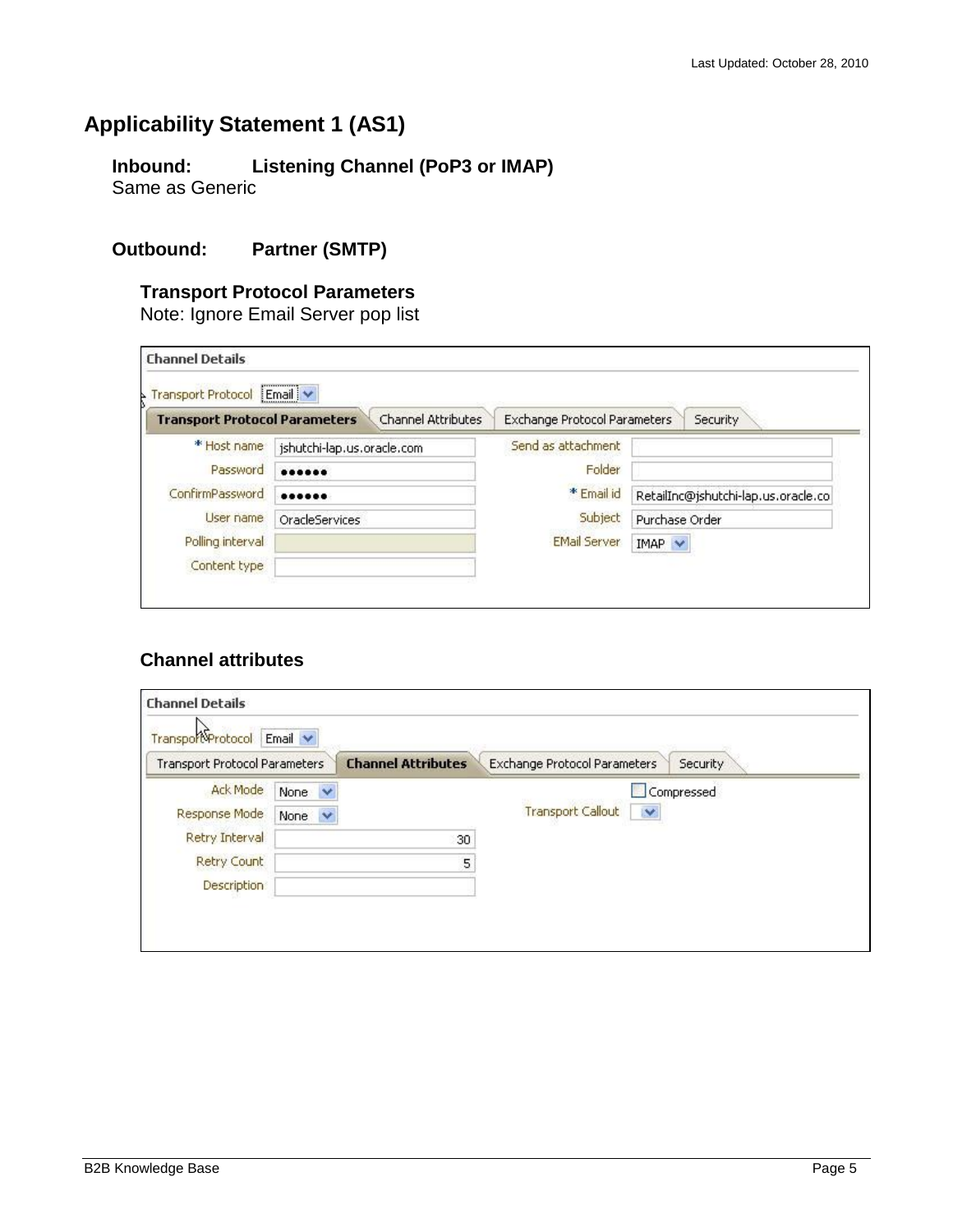# <span id="page-4-1"></span><span id="page-4-0"></span>**Applicability Statement 1 (AS1)**

**Inbound: Listening Channel (PoP3 or IMAP)** Same as Generic

#### <span id="page-4-2"></span>**Outbound: Partner (SMTP)**

#### **Transport Protocol Parameters**

Note: Ignore Email Server pop list

| Transport Protocol Email V           |                            |                              |                                     |
|--------------------------------------|----------------------------|------------------------------|-------------------------------------|
| <b>Transport Protocol Parameters</b> | Channel Attributes         | Exchange Protocol Parameters | Security                            |
| * Host name                          | jshutchi-lap.us.oracle.com | Send as attachment           |                                     |
| Password                             |                            | Folder                       |                                     |
| ConfirmPassword                      |                            | * Email id                   | RetailInc@jshutchi-lap.us.oracle.co |
| User name                            | <b>OracleServices</b>      | Subject                      | Purchase Order                      |
| Polling interval                     |                            | <b>EMail Server</b>          | $IMAP \nightharpoonup$              |
| Content type                         |                            |                              |                                     |

#### **Channel attributes**

| Transport                     | Email $\blacktriangleright$  |                           |                               |            |
|-------------------------------|------------------------------|---------------------------|-------------------------------|------------|
| Transport Protocol Parameters |                              | <b>Channel Attributes</b> | Exchange Protocol Parameters  | Security   |
| <b>Ack Mode</b>               | $\ddot{\phantom{1}}$<br>None |                           |                               | Compressed |
| Response Mode                 | None<br>$\checkmark$         |                           | <b>Transport Callout</b><br>Y |            |
| Retry Interval                |                              | 30                        |                               |            |
| <b>Retry Count</b>            |                              | 5                         |                               |            |
| <b>Description</b>            |                              |                           |                               |            |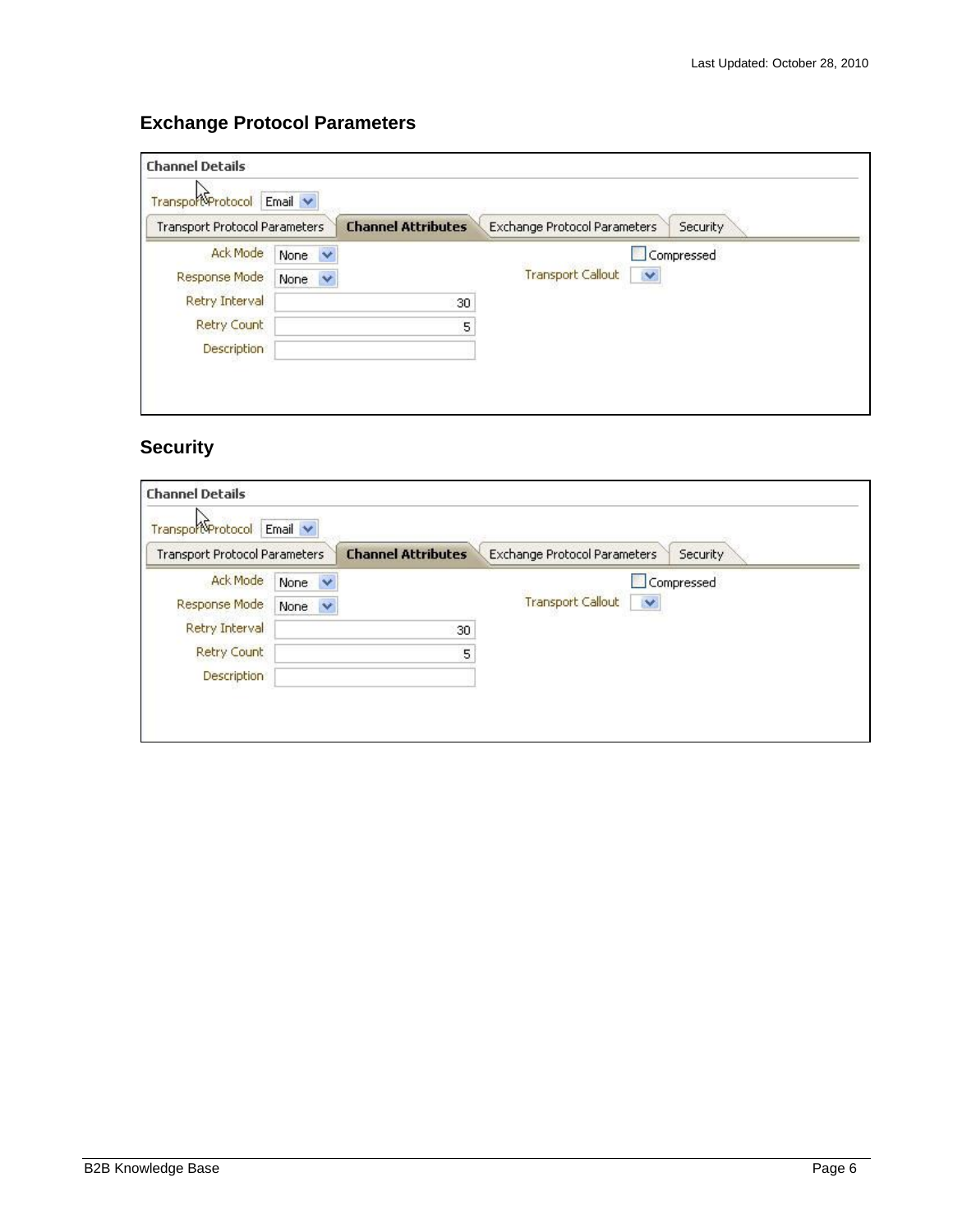### **Exchange Protocol Parameters**

| Transport                     | Email $\blacktriangleright$     |                           |                                          |
|-------------------------------|---------------------------------|---------------------------|------------------------------------------|
| Transport Protocol Parameters |                                 | <b>Channel Attributes</b> | Exchange Protocol Parameters<br>Security |
| <b>Ack Mode</b>               | $\overline{\mathbf{v}}$<br>None |                           | Compressed                               |
| Response Mode                 | None $\vee$                     |                           | <b>Transport Callout</b><br>×            |
| Retry Interval                |                                 | 30                        |                                          |
| Retry Count                   |                                 | 5                         |                                          |
| <b>Description</b>            |                                 |                           |                                          |

### **Security**

| Transport                            | Email $\blacktriangleright$ |                           |                               |            |
|--------------------------------------|-----------------------------|---------------------------|-------------------------------|------------|
| <b>Transport Protocol Parameters</b> |                             | <b>Channel Attributes</b> | Exchange Protocol Parameters  | Security   |
| <b>Ack Mode</b>                      | $\ddotmark$<br>None         |                           |                               | Compressed |
| Response Mode                        | None<br>$\checkmark$        |                           | <b>Transport Callout</b><br>× |            |
| Retry Interval                       |                             | 30                        |                               |            |
| <b>Retry Count</b>                   |                             | 5                         |                               |            |
| <b>Description</b>                   |                             |                           |                               |            |
|                                      |                             |                           |                               |            |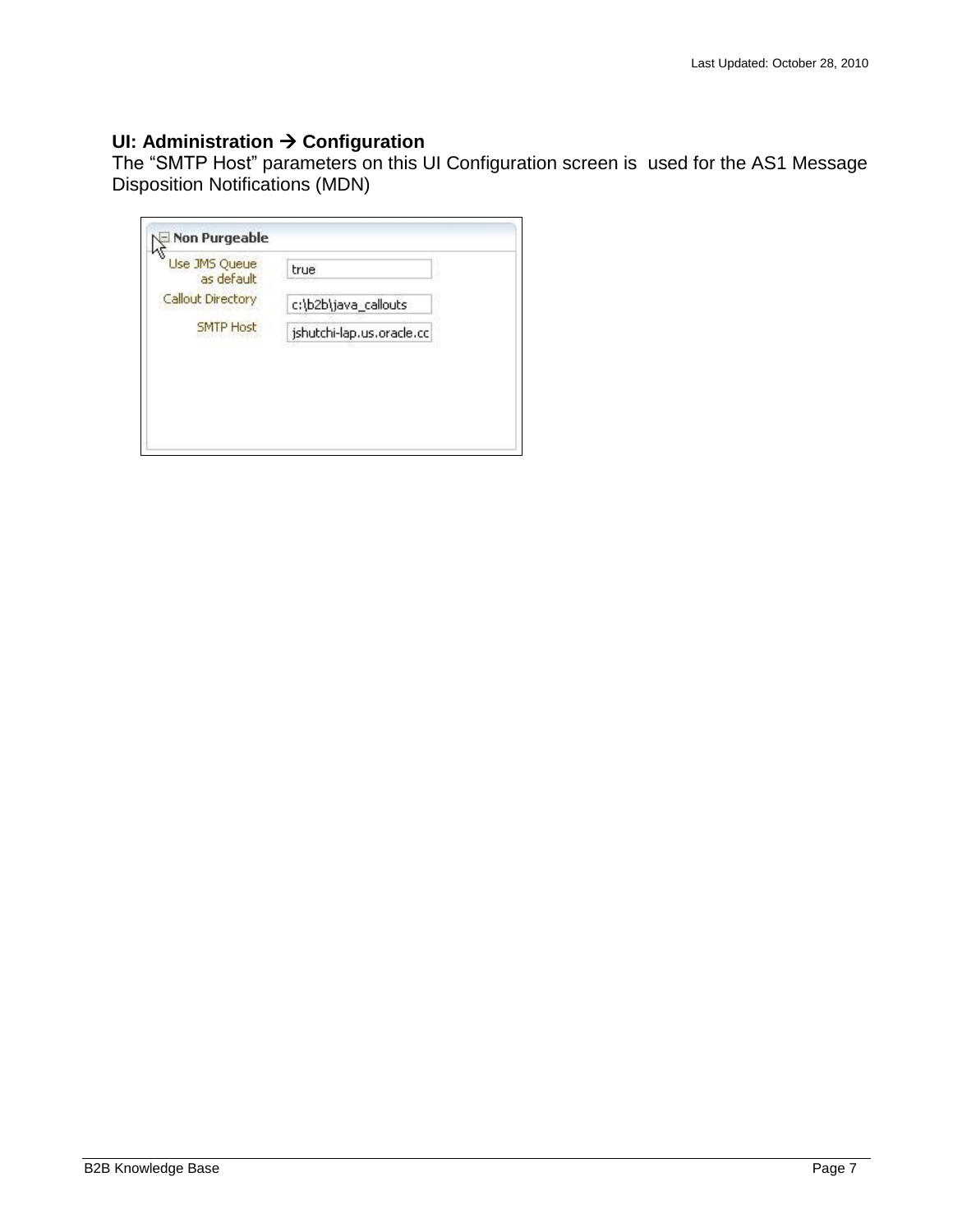#### <span id="page-6-0"></span>**UI: Administration → Configuration**

The "SMTP Host" parameters on this UI Configuration screen is used for the AS1 Message Disposition Notifications (MDN)

| Use JMS Queue<br>as default | true                      |
|-----------------------------|---------------------------|
| Callout Directory           | c:\b2b\java_callouts      |
| <b>SMTP Host</b>            | jshutchi-lap.us.oracle.cc |
|                             |                           |
|                             |                           |
|                             |                           |
|                             |                           |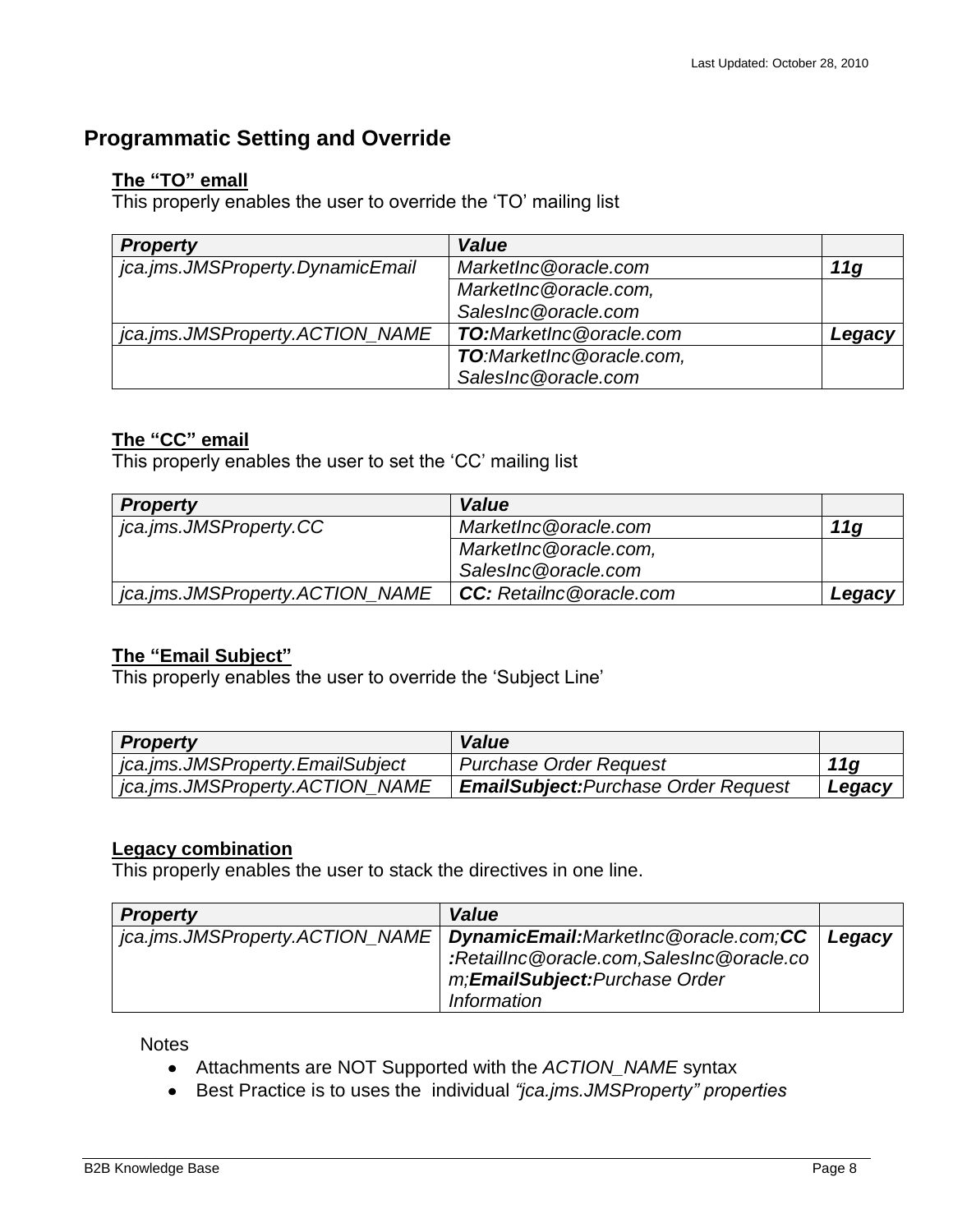### <span id="page-7-1"></span><span id="page-7-0"></span>**Programmatic Setting and Override**

#### **The "TO" emall**

This properly enables the user to override the "TO" mailing list

| <b>Property</b>                  | Value                           |        |
|----------------------------------|---------------------------------|--------|
| jca.jms.JMSProperty.DynamicEmail | MarketInc@oracle.com            | 11g    |
|                                  | MarketInc@oracle.com,           |        |
|                                  | SalesInc@oracle.com             |        |
| jca.jms.JMSProperty.ACTION_NAME  | <b>TO:</b> MarketInc@oracle.com | Legacy |
|                                  | TO:MarketInc@oracle.com,        |        |
|                                  | SalesInc@oracle.com             |        |

### <span id="page-7-2"></span>**The "CC" email**

This properly enables the user to set the "CC" mailing list

| <b>Property</b>                 | <b>Value</b>                   |        |
|---------------------------------|--------------------------------|--------|
| jca.jms.JMSProperty.CC          | MarketInc@oracle.com           | 11a    |
|                                 | MarketInc@oracle.com,          |        |
|                                 | SalesInc@oracle.com            |        |
| jca.jms.JMSProperty.ACTION_NAME | <b>CC:</b> Retailnc@oracle.com | Legacy |

#### <span id="page-7-3"></span>**The "Email Subject"**

This properly enables the user to override the "Subject Line"

| <b>Property</b>                  | <b>Value</b>                                |        |
|----------------------------------|---------------------------------------------|--------|
| jca.jms.JMSProperty.EmailSubject | <b>Purchase Order Request</b>               | 11g    |
| jca.jms.JMSProperty.ACTION_NAME  | <b>EmailSubject: Purchase Order Request</b> | Legacy |

#### <span id="page-7-4"></span>**Legacy combination**

This properly enables the user to stack the directives in one line.

| <b>Property</b> | Value                                                                  |        |
|-----------------|------------------------------------------------------------------------|--------|
|                 | jca.jms.JMSProperty.ACTION_NAME   DynamicEmail:MarketInc@oracle.com;CC | Legacy |
|                 | :RetailInc@oracle.com,SalesInc@oracle.co                               |        |
|                 | m; <b>EmailSubject:</b> Purchase Order                                 |        |
|                 | Information                                                            |        |

**Notes** 

- Attachments are NOT Supported with the *ACTION\_NAME* syntax
- Best Practice is to uses the individual *"jca.jms.JMSProperty" properties*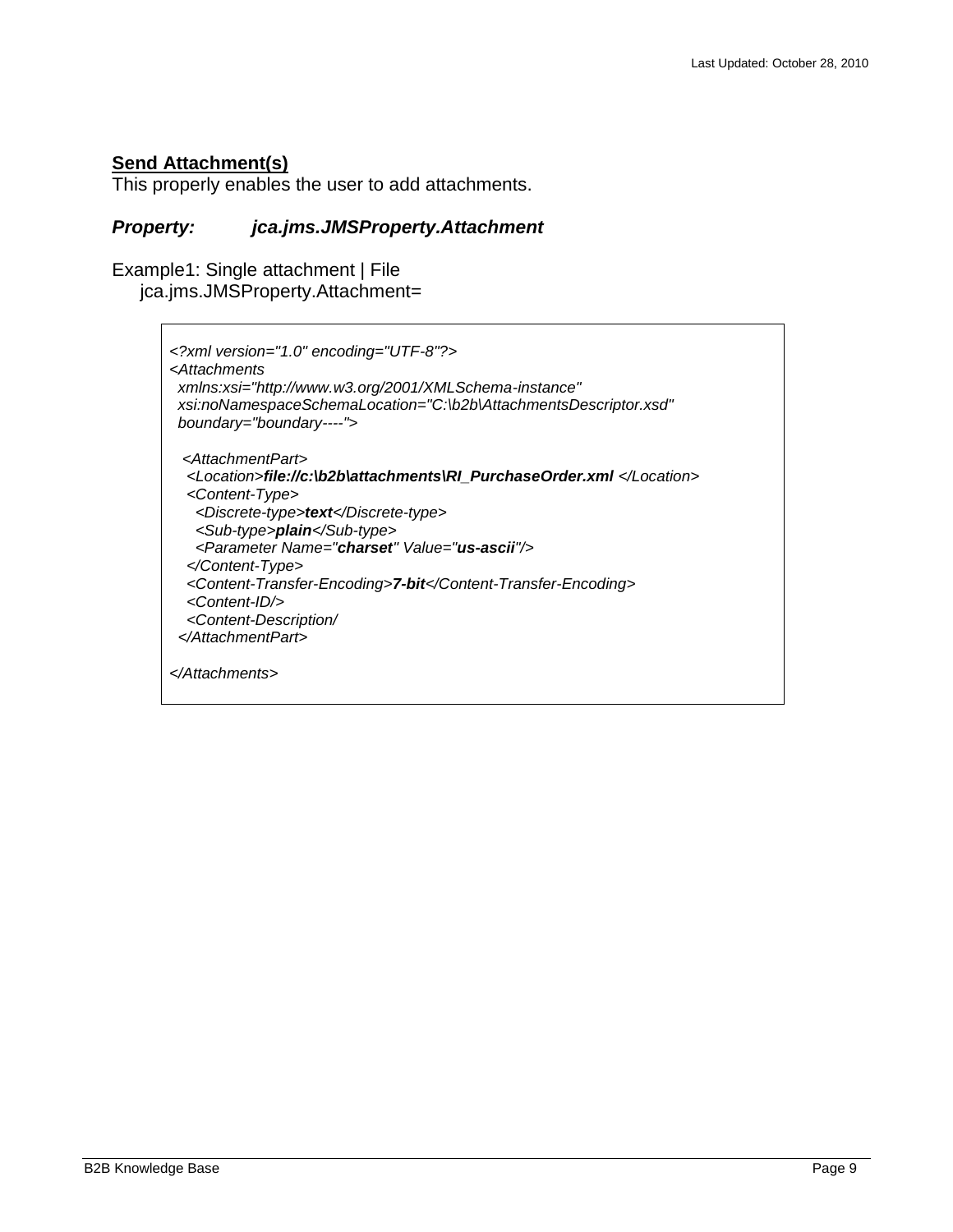#### <span id="page-8-0"></span>**Send Attachment(s)**

This properly enables the user to add attachments.

#### *Property: jca.jms.JMSProperty.Attachment*

Example1: Single attachment | File jca.jms.JMSProperty.Attachment=

```
<?xml version="1.0" encoding="UTF-8"?>
<Attachments 
 xmlns:xsi="http://www.w3.org/2001/XMLSchema-instance" 
 xsi:noNamespaceSchemaLocation="C:\b2b\AttachmentsDescriptor.xsd" 
 boundary="boundary----">
  <AttachmentPart>
   <Location>file://c:\b2b\attachments\RI_PurchaseOrder.xml </Location>
   <Content-Type>
    <Discrete-type>text</Discrete-type>
    <Sub-type>plain</Sub-type>
    <Parameter Name="charset" Value="us-ascii"/>
   </Content-Type>
   <Content-Transfer-Encoding>7-bit</Content-Transfer-Encoding>
   <Content-ID/>
   <Content-Description/
  </AttachmentPart>
</Attachments>
```